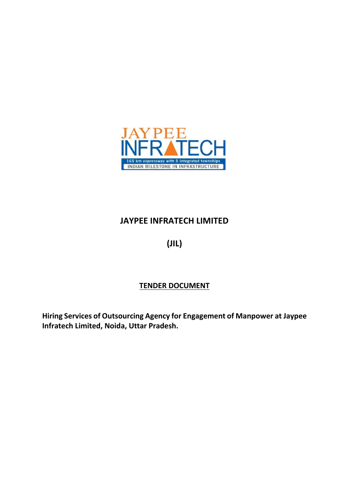

# **JAYPEE INFRATECH LIMITED**

**(JIL)**

## **TENDER DOCUMENT**

**Hiring Services of Outsourcing Agency for Engagement of Manpower at Jaypee Infratech Limited, Noida, Uttar Pradesh.**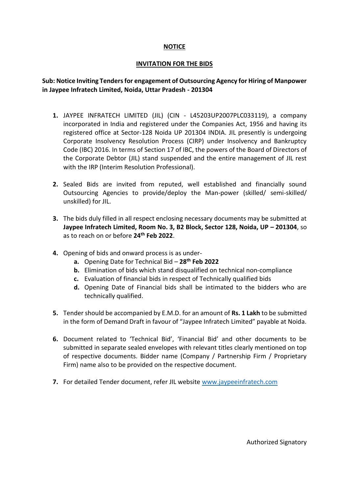## **NOTICE**

#### **INVITATION FOR THE BIDS**

## **Sub: Notice Inviting Tenders for engagement of Outsourcing Agency for Hiring of Manpower in Jaypee Infratech Limited, Noida, Uttar Pradesh - 201304**

- **1.** JAYPEE INFRATECH LIMITED (JIL) (CIN L45203UP2007PLC033119), a company incorporated in India and registered under the Companies Act, 1956 and having its registered office at Sector-128 Noida UP 201304 INDIA. JIL presently is undergoing Corporate Insolvency Resolution Process (CIRP) under Insolvency and Bankruptcy Code (IBC) 2016. In terms of Section 17 of IBC, the powers of the Board of Directors of the Corporate Debtor (JIL) stand suspended and the entire management of JIL rest with the IRP (Interim Resolution Professional).
- **2.** Sealed Bids are invited from reputed, well established and financially sound Outsourcing Agencies to provide/deploy the Man-power (skilled/ semi-skilled/ unskilled) for JIL.
- **3.** The bids duly filled in all respect enclosing necessary documents may be submitted at **Jaypee Infratech Limited, Room No. 3, B2 Block, Sector 128, Noida, UP – 201304**, so as to reach on or before **24 th Feb 2022**.
- **4.** Opening of bids and onward process is as under
	- **a.** Opening Date for Technical Bid **28th Feb 2022**
	- **b.** Elimination of bids which stand disqualified on technical non-compliance
	- **c.** Evaluation of financial bids in respect of Technically qualified bids
	- **d.** Opening Date of Financial bids shall be intimated to the bidders who are technically qualified.
- **5.** Tender should be accompanied by E.M.D. for an amount of **Rs. 1 Lakh** to be submitted in the form of Demand Draft in favour of "Jaypee Infratech Limited" payable at Noida.
- **6.** Document related to 'Technical Bid', 'Financial Bid' and other documents to be submitted in separate sealed envelopes with relevant titles clearly mentioned on top of respective documents. Bidder name (Company / Partnership Firm / Proprietary Firm) name also to be provided on the respective document.
- **7.** For detailed Tender document, refer JIL website [www.jaypeeinfratech.com](http://www.jaypeeinfratech.com/)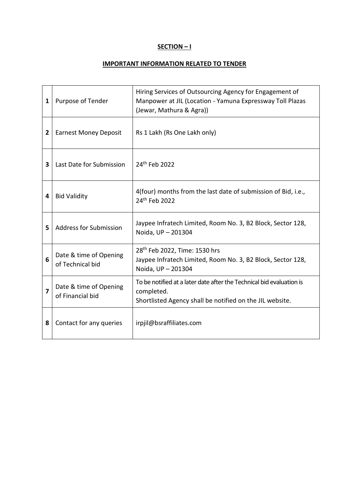## **SECTION – I**

## **IMPORTANT INFORMATION RELATED TO TENDER**

| 1 | Purpose of Tender                          | Hiring Services of Outsourcing Agency for Engagement of<br>Manpower at JIL (Location - Yamuna Expressway Toll Plazas<br>(Jewar, Mathura & Agra)) |
|---|--------------------------------------------|--------------------------------------------------------------------------------------------------------------------------------------------------|
| 2 | <b>Earnest Money Deposit</b>               | Rs 1 Lakh (Rs One Lakh only)                                                                                                                     |
| 3 | Last Date for Submission                   | 24 <sup>th</sup> Feb 2022                                                                                                                        |
| 4 | <b>Bid Validity</b>                        | 4(four) months from the last date of submission of Bid, i.e.,<br>24th Feb 2022                                                                   |
| 5 | <b>Address for Submission</b>              | Jaypee Infratech Limited, Room No. 3, B2 Block, Sector 128,<br>Noida, UP - 201304                                                                |
| 6 | Date & time of Opening<br>of Technical bid | 28 <sup>th</sup> Feb 2022, Time: 1530 hrs<br>Jaypee Infratech Limited, Room No. 3, B2 Block, Sector 128,<br>Noida, UP - 201304                   |
| 7 | Date & time of Opening<br>of Financial bid | To be notified at a later date after the Technical bid evaluation is<br>completed.<br>Shortlisted Agency shall be notified on the JIL website.   |
| 8 | Contact for any queries                    | irpjil@bsraffiliates.com                                                                                                                         |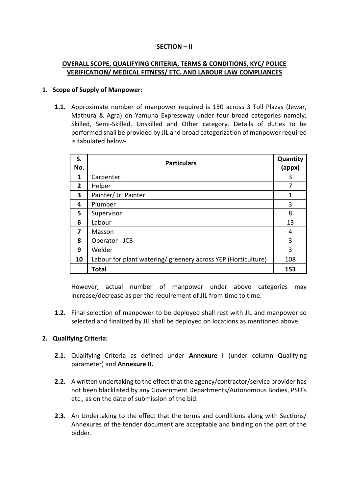## **SECTION – II**

## **OVERALL SCOPE, QUALIFYING CRITERIA, TERMS & CONDITIONS, KYC/ POLICE VERIFICATION/ MEDICAL FITNESS/ ETC. AND LABOUR LAW COMPLIANCES**

#### **1. Scope of Supply of Manpower:**

**1.1.** Approximate number of manpower required is 150 across 3 Toll Plazas (Jewar, Mathura & Agra) on Yamuna Expressway under four broad categories namely; Skilled, Semi-Skilled, Unskilled and Other category. Details of duties to be performed shall be provided by JIL and broad categorization of manpower required is tabulated below-

| S.<br>No.      | <b>Particulars</b>                                            |     |
|----------------|---------------------------------------------------------------|-----|
| 1              | Carpenter                                                     | 3   |
| $\overline{2}$ | Helper                                                        | 7   |
| 3              | Painter/ Jr. Painter                                          | 1   |
| 4              | Plumber                                                       | 3   |
| 5              | Supervisor                                                    | 8   |
| 6              | Labour                                                        | 13  |
| 7              | Masson                                                        | 4   |
| 8              | Operator - JCB                                                | 3   |
| 9              | Welder                                                        | 3   |
| 10             | Labour for plant watering/ greenery across YEP (Horticulture) | 108 |
|                | <b>Total</b>                                                  | 153 |

However, actual number of manpower under above categories may increase/decrease as per the requirement of JIL from time to time.

**1.2.** Final selection of manpower to be deployed shall rest with JIL and manpower so selected and finalized by JIL shall be deployed on locations as mentioned above.

## **2. Qualifying Criteria:**

- **2.1.** Qualifying Criteria as defined under **Annexure I** (under column Qualifying parameter) and **Annexure II.**
- **2.2.** A written undertaking to the effect that the agency/contractor/service provider has not been blacklisted by any Government Departments/Autonomous Bodies, PSU's etc., as on the date of submission of the bid.
- **2.3.** An Undertaking to the effect that the terms and conditions along with Sections/ Annexures of the tender document are acceptable and binding on the part of the bidder.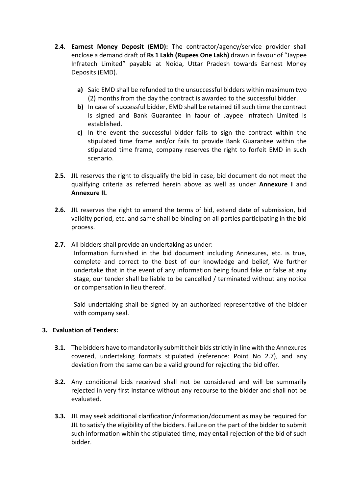- **2.4. Earnest Money Deposit (EMD):** The contractor/agency/service provider shall enclose a demand draft of **Rs 1 Lakh (Rupees One Lakh)** drawn in favour of "Jaypee Infratech Limited" payable at Noida, Uttar Pradesh towards Earnest Money Deposits (EMD).
	- **a)** Said EMD shall be refunded to the unsuccessful bidders within maximum two (2) months from the day the contract is awarded to the successful bidder.
	- **b)** In case of successful bidder, EMD shall be retained till such time the contract is signed and Bank Guarantee in faour of Jaypee Infratech Limited is established.
	- **c)** In the event the successful bidder fails to sign the contract within the stipulated time frame and/or fails to provide Bank Guarantee within the stipulated time frame, company reserves the right to forfeit EMD in such scenario.
- **2.5.** JIL reserves the right to disqualify the bid in case, bid document do not meet the qualifying criteria as referred herein above as well as under **Annexure I** and **Annexure II.**
- **2.6.** JIL reserves the right to amend the terms of bid, extend date of submission, bid validity period, etc. and same shall be binding on all parties participating in the bid process.
- **2.7.** All bidders shall provide an undertaking as under:

Information furnished in the bid document including Annexures, etc. is true, complete and correct to the best of our knowledge and belief, We further undertake that in the event of any information being found fake or false at any stage, our tender shall be liable to be cancelled / terminated without any notice or compensation in lieu thereof.

Said undertaking shall be signed by an authorized representative of the bidder with company seal.

## **3. Evaluation of Tenders:**

- **3.1.** The bidders have to mandatorily submit their bids strictly in line with the Annexures covered, undertaking formats stipulated (reference: Point No 2.7), and any deviation from the same can be a valid ground for rejecting the bid offer.
- **3.2.** Any conditional bids received shall not be considered and will be summarily rejected in very first instance without any recourse to the bidder and shall not be evaluated.
- **3.3.** JIL may seek additional clarification/information/document as may be required for JIL to satisfy the eligibility of the bidders. Failure on the part of the bidder to submit such information within the stipulated time, may entail rejection of the bid of such bidder.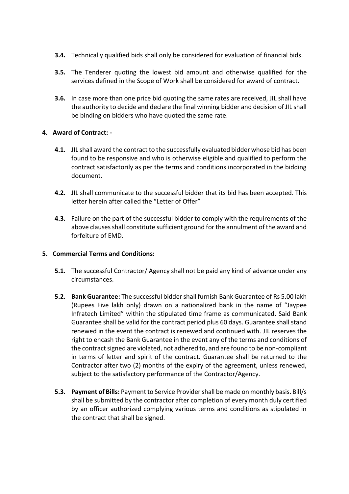- **3.4.** Technically qualified bids shall only be considered for evaluation of financial bids.
- **3.5.** The Tenderer quoting the lowest bid amount and otherwise qualified for the services defined in the Scope of Work shall be considered for award of contract.
- **3.6.** In case more than one price bid quoting the same rates are received, JIL shall have the authority to decide and declare the final winning bidder and decision of JIL shall be binding on bidders who have quoted the same rate.

## **4. Award of Contract: -**

- **4.1.** JIL shall award the contract to the successfully evaluated bidder whose bid has been found to be responsive and who is otherwise eligible and qualified to perform the contract satisfactorily as per the terms and conditions incorporated in the bidding document.
- **4.2.** JIL shall communicate to the successful bidder that its bid has been accepted. This letter herein after called the "Letter of Offer"
- **4.3.** Failure on the part of the successful bidder to comply with the requirements of the above clauses shall constitute sufficient ground for the annulment of the award and forfeiture of EMD.

## **5. Commercial Terms and Conditions:**

- **5.1.** The successful Contractor/ Agency shall not be paid any kind of advance under any circumstances.
- **5.2. Bank Guarantee:** The successful bidder shall furnish Bank Guarantee of Rs 5.00 lakh (Rupees Five lakh only) drawn on a nationalized bank in the name of "Jaypee Infratech Limited" within the stipulated time frame as communicated. Said Bank Guarantee shall be valid for the contract period plus 60 days. Guarantee shall stand renewed in the event the contract is renewed and continued with. JIL reserves the right to encash the Bank Guarantee in the event any of the terms and conditions of the contract signed are violated, not adhered to, and are found to be non-compliant in terms of letter and spirit of the contract. Guarantee shall be returned to the Contractor after two (2) months of the expiry of the agreement, unless renewed, subject to the satisfactory performance of the Contractor/Agency.
- **5.3. Payment of Bills:** Payment to Service Provider shall be made on monthly basis. Bill/s shall be submitted by the contractor after completion of every month duly certified by an officer authorized complying various terms and conditions as stipulated in the contract that shall be signed.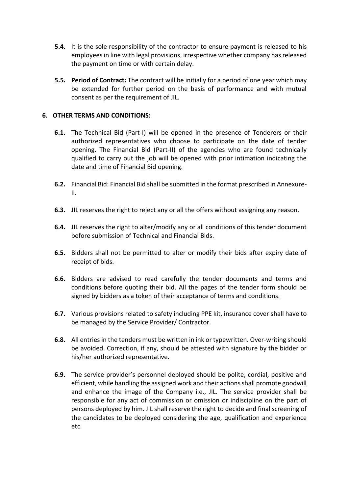- **5.4.** It is the sole responsibility of the contractor to ensure payment is released to his employees in line with legal provisions, irrespective whether company has released the payment on time or with certain delay.
- **5.5. Period of Contract:** The contract will be initially for a period of one year which may be extended for further period on the basis of performance and with mutual consent as per the requirement of JIL.

#### **6. OTHER TERMS AND CONDITIONS:**

- **6.1.** The Technical Bid (Part-I) will be opened in the presence of Tenderers or their authorized representatives who choose to participate on the date of tender opening. The Financial Bid (Part-II) of the agencies who are found technically qualified to carry out the job will be opened with prior intimation indicating the date and time of Financial Bid opening.
- **6.2.** Financial Bid: Financial Bid shall be submitted in the format prescribed in Annexure-II.
- **6.3.** JIL reserves the right to reject any or all the offers without assigning any reason.
- **6.4.** JIL reserves the right to alter/modify any or all conditions of this tender document before submission of Technical and Financial Bids.
- **6.5.** Bidders shall not be permitted to alter or modify their bids after expiry date of receipt of bids.
- **6.6.** Bidders are advised to read carefully the tender documents and terms and conditions before quoting their bid. All the pages of the tender form should be signed by bidders as a token of their acceptance of terms and conditions.
- **6.7.** Various provisions related to safety including PPE kit, insurance cover shall have to be managed by the Service Provider/ Contractor.
- **6.8.** All entries in the tenders must be written in ink or typewritten. Over-writing should be avoided. Correction, if any, should be attested with signature by the bidder or his/her authorized representative.
- **6.9.** The service provider's personnel deployed should be polite, cordial, positive and efficient, while handling the assigned work and their actions shall promote goodwill and enhance the image of the Company i.e., JIL. The service provider shall be responsible for any act of commission or omission or indiscipline on the part of persons deployed by him. JIL shall reserve the right to decide and final screening of the candidates to be deployed considering the age, qualification and experience etc.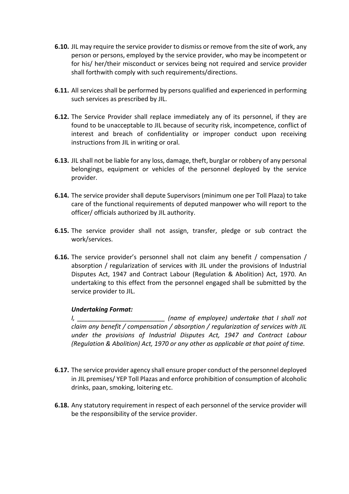- **6.10.** JIL may require the service provider to dismiss or remove from the site of work, any person or persons, employed by the service provider, who may be incompetent or for his/ her/their misconduct or services being not required and service provider shall forthwith comply with such requirements/directions.
- **6.11.** All services shall be performed by persons qualified and experienced in performing such services as prescribed by JIL.
- **6.12.** The Service Provider shall replace immediately any of its personnel, if they are found to be unacceptable to JIL because of security risk, incompetence, conflict of interest and breach of confidentiality or improper conduct upon receiving instructions from JIL in writing or oral.
- **6.13.** JIL shall not be liable for any loss, damage, theft, burglar or robbery of any personal belongings, equipment or vehicles of the personnel deployed by the service provider.
- **6.14.** The service provider shall depute Supervisors (minimum one per Toll Plaza) to take care of the functional requirements of deputed manpower who will report to the officer/ officials authorized by JIL authority.
- **6.15.** The service provider shall not assign, transfer, pledge or sub contract the work/services.
- **6.16.** The service provider's personnel shall not claim any benefit / compensation / absorption / regularization of services with JIL under the provisions of Industrial Disputes Act, 1947 and Contract Labour (Regulation & Abolition) Act, 1970. An undertaking to this effect from the personnel engaged shall be submitted by the service provider to JIL.

## *Undertaking Format:*

*I, \_\_\_\_\_\_\_\_\_\_\_\_\_\_\_\_\_\_\_\_\_\_\_\_\_ (name of employee) undertake that I shall not claim any benefit / compensation / absorption / regularization of services with JIL under the provisions of Industrial Disputes Act, 1947 and Contract Labour (Regulation & Abolition) Act, 1970 or any other as applicable at that point of time.*

- **6.17.** The service provider agency shall ensure proper conduct of the personnel deployed in JIL premises/ YEP Toll Plazas and enforce prohibition of consumption of alcoholic drinks, paan, smoking, loitering etc.
- **6.18.** Any statutory requirement in respect of each personnel of the service provider will be the responsibility of the service provider.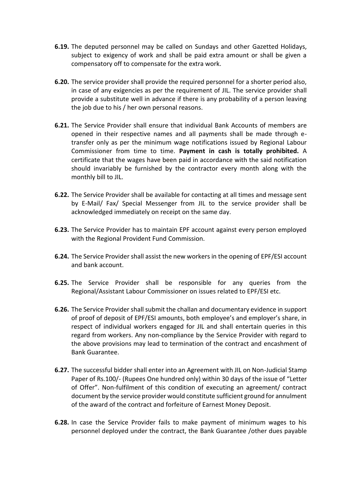- **6.19.** The deputed personnel may be called on Sundays and other Gazetted Holidays, subject to exigency of work and shall be paid extra amount or shall be given a compensatory off to compensate for the extra work.
- **6.20.** The service provider shall provide the required personnel for a shorter period also, in case of any exigencies as per the requirement of JIL. The service provider shall provide a substitute well in advance if there is any probability of a person leaving the job due to his / her own personal reasons.
- **6.21.** The Service Provider shall ensure that individual Bank Accounts of members are opened in their respective names and all payments shall be made through etransfer only as per the minimum wage notifications issued by Regional Labour Commissioner from time to time. **Payment in cash is totally prohibited.** A certificate that the wages have been paid in accordance with the said notification should invariably be furnished by the contractor every month along with the monthly bill to JIL.
- **6.22.** The Service Provider shall be available for contacting at all times and message sent by E-Mail/ Fax/ Special Messenger from JIL to the service provider shall be acknowledged immediately on receipt on the same day.
- **6.23.** The Service Provider has to maintain EPF account against every person employed with the Regional Provident Fund Commission.
- **6.24.** The Service Provider shall assist the new workers in the opening of EPF/ESI account and bank account.
- **6.25.** The Service Provider shall be responsible for any queries from the Regional/Assistant Labour Commissioner on issues related to EPF/ESI etc.
- **6.26.** The Service Provider shall submit the challan and documentary evidence in support of proof of deposit of EPF/ESI amounts, both employee's and employer's share, in respect of individual workers engaged for JIL and shall entertain queries in this regard from workers. Any non-compliance by the Service Provider with regard to the above provisions may lead to termination of the contract and encashment of Bank Guarantee.
- **6.27.** The successful bidder shall enter into an Agreement with JIL on Non-Judicial Stamp Paper of Rs.100/- (Rupees One hundred only) within 30 days of the issue of "Letter of Offer". Non-fulfilment of this condition of executing an agreement/ contract document by the service provider would constitute sufficient ground for annulment of the award of the contract and forfeiture of Earnest Money Deposit.
- **6.28.** In case the Service Provider fails to make payment of minimum wages to his personnel deployed under the contract, the Bank Guarantee /other dues payable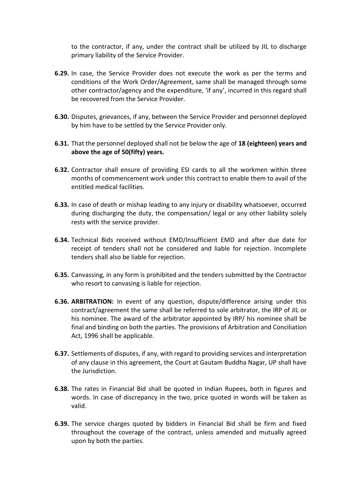to the contractor, if any, under the contract shall be utilized by JIL to discharge primary liability of the Service Provider.

- **6.29.** In case, the Service Provider does not execute the work as per the terms and conditions of the Work Order/Agreement, same shall be managed through some other contractor/agency and the expenditure, 'if any', incurred in this regard shall be recovered from the Service Provider.
- **6.30.** Disputes, grievances, if any, between the Service Provider and personnel deployed by him have to be settled by the Service Provider only.
- **6.31.** That the personnel deployed shall not be below the age of **18 (eighteen) years and above the age of 50(fifty) years.**
- **6.32.** Contractor shall ensure of providing ESI cards to all the workmen within three months of commencement work under this contract to enable them to avail of the entitled medical facilities.
- **6.33.** In case of death or mishap leading to any injury or disability whatsoever, occurred during discharging the duty, the compensation/ legal or any other liability solely rests with the service provider.
- **6.34.** Technical Bids received without EMD/Insufficient EMD and after due date for receipt of tenders shall not be considered and liable for rejection. Incomplete tenders shall also be liable for rejection.
- **6.35.** Canvassing, in any form is prohibited and the tenders submitted by the Contractor who resort to canvasing is liable for rejection.
- **6.36. ARBITRATION:** In event of any question, dispute/difference arising under this contract/agreement the same shall be referred to sole arbitrator, the IRP of JIL or his nominee. The award of the arbitrator appointed by IRP/ his nominee shall be final and binding on both the parties. The provisions of Arbitration and Conciliation Act, 1996 shall be applicable.
- **6.37.** Settlements of disputes, if any, with regard to providing services and interpretation of any clause in this agreement, the Court at Gautam Buddha Nagar, UP shall have the Jurisdiction.
- **6.38.** The rates in Financial Bid shall be quoted in Indian Rupees, both in figures and words. In case of discrepancy in the two, price quoted in words will be taken as valid.
- **6.39.** The service charges quoted by bidders in Financial Bid shall be firm and fixed throughout the coverage of the contract, unless amended and mutually agreed upon by both the parties.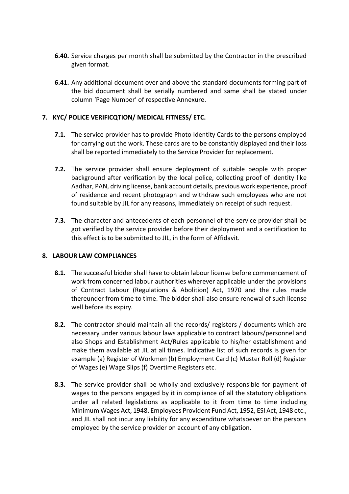- **6.40.** Service charges per month shall be submitted by the Contractor in the prescribed given format.
- **6.41.** Any additional document over and above the standard documents forming part of the bid document shall be serially numbered and same shall be stated under column 'Page Number' of respective Annexure.

## **7. KYC/ POLICE VERIFICQTION/ MEDICAL FITNESS/ ETC.**

- **7.1.** The service provider has to provide Photo Identity Cards to the persons employed for carrying out the work. These cards are to be constantly displayed and their loss shall be reported immediately to the Service Provider for replacement.
- **7.2.** The service provider shall ensure deployment of suitable people with proper background after verification by the local police, collecting proof of identity like Aadhar, PAN, driving license, bank account details, previous work experience, proof of residence and recent photograph and withdraw such employees who are not found suitable by JIL for any reasons, immediately on receipt of such request.
- **7.3.** The character and antecedents of each personnel of the service provider shall be got verified by the service provider before their deployment and a certification to this effect is to be submitted to JIL, in the form of Affidavit.

## **8. LABOUR LAW COMPLIANCES**

- **8.1.** The successful bidder shall have to obtain labour license before commencement of work from concerned labour authorities wherever applicable under the provisions of Contract Labour (Regulations & Abolition) Act, 1970 and the rules made thereunder from time to time. The bidder shall also ensure renewal of such license well before its expiry.
- **8.2.** The contractor should maintain all the records/ registers / documents which are necessary under various labour laws applicable to contract labours/personnel and also Shops and Establishment Act/Rules applicable to his/her establishment and make them available at JIL at all times. Indicative list of such records is given for example (a) Register of Workmen (b) Employment Card (c) Muster Roll (d) Register of Wages (e) Wage Slips (f) Overtime Registers etc.
- **8.3.** The service provider shall be wholly and exclusively responsible for payment of wages to the persons engaged by it in compliance of all the statutory obligations under all related legislations as applicable to it from time to time including Minimum Wages Act, 1948. Employees Provident Fund Act, 1952, ESI Act, 1948 etc., and JIL shall not incur any liability for any expenditure whatsoever on the persons employed by the service provider on account of any obligation.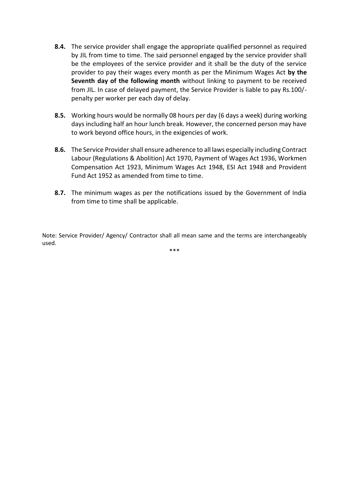- **8.4.** The service provider shall engage the appropriate qualified personnel as required by JIL from time to time. The said personnel engaged by the service provider shall be the employees of the service provider and it shall be the duty of the service provider to pay their wages every month as per the Minimum Wages Act **by the Seventh day of the following month** without linking to payment to be received from JIL. In case of delayed payment, the Service Provider is liable to pay Rs.100/ penalty per worker per each day of delay.
- **8.5.** Working hours would be normally 08 hours per day (6 days a week) during working days including half an hour lunch break. However, the concerned person may have to work beyond office hours, in the exigencies of work.
- **8.6.** The Service Provider shall ensure adherence to all laws especially including Contract Labour (Regulations & Abolition) Act 1970, Payment of Wages Act 1936, Workmen Compensation Act 1923, Minimum Wages Act 1948, ESI Act 1948 and Provident Fund Act 1952 as amended from time to time.
- **8.7.** The minimum wages as per the notifications issued by the Government of India from time to time shall be applicable.

Note: Service Provider/ Agency/ Contractor shall all mean same and the terms are interchangeably used.

\*\*\*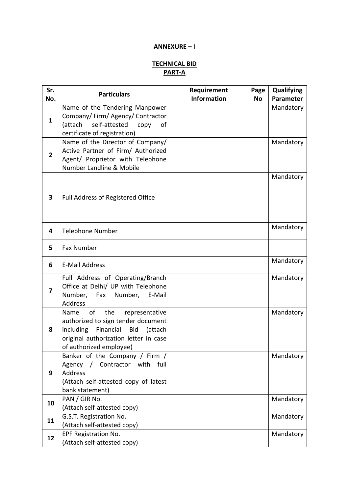## **ANNEXURE – I**

## **TECHNICAL BID PART-A**

| Sr.<br>No.     | <b>Particulars</b>                                                                                                                                                                               | Requirement<br><b>Information</b> | Page<br><b>No</b> | Qualifying<br>Parameter |
|----------------|--------------------------------------------------------------------------------------------------------------------------------------------------------------------------------------------------|-----------------------------------|-------------------|-------------------------|
| $\mathbf{1}$   | Name of the Tendering Manpower<br>Company/Firm/Agency/Contractor<br>(attach<br>self-attested<br>copy<br>of<br>certificate of registration)                                                       |                                   |                   | Mandatory               |
| $\overline{2}$ | Name of the Director of Company/<br>Active Partner of Firm/ Authorized<br>Agent/ Proprietor with Telephone<br>Number Landline & Mobile                                                           |                                   |                   | Mandatory               |
| 3              | <b>Full Address of Registered Office</b>                                                                                                                                                         |                                   |                   | Mandatory               |
| 4              | <b>Telephone Number</b>                                                                                                                                                                          |                                   |                   | Mandatory               |
| 5              | <b>Fax Number</b>                                                                                                                                                                                |                                   |                   |                         |
| 6              | <b>E-Mail Address</b>                                                                                                                                                                            |                                   |                   | Mandatory               |
| 7              | Full Address of Operating/Branch<br>Office at Delhi/ UP with Telephone<br>Number, Fax Number,<br>E-Mail<br>Address                                                                               |                                   |                   | Mandatory               |
| 8              | of<br>the<br>Name<br>representative<br>authorized to sign tender document<br>including<br>Financial<br><b>Bid</b><br>(attach<br>original authorization letter in case<br>of authorized employee) |                                   |                   | Mandatory               |
| 9              | Banker of the Company / Firm /<br>Contractor with<br>Agency<br>full<br>$\sqrt{2}$<br>Address<br>(Attach self-attested copy of latest<br>bank statement)                                          |                                   |                   | Mandatory               |
| 10             | PAN / GIR No.<br>(Attach self-attested copy)                                                                                                                                                     |                                   |                   | Mandatory               |
| 11             | G.S.T. Registration No.<br>(Attach self-attested copy)                                                                                                                                           |                                   |                   | Mandatory               |
| 12             | EPF Registration No.<br>(Attach self-attested copy)                                                                                                                                              |                                   |                   | Mandatory               |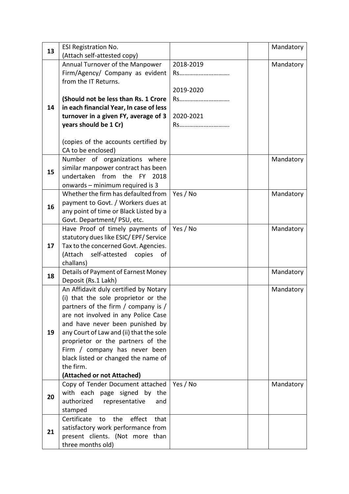| 13 | <b>ESI Registration No.</b>                                  |           | Mandatory |
|----|--------------------------------------------------------------|-----------|-----------|
|    | (Attach self-attested copy)                                  |           |           |
|    | Annual Turnover of the Manpower                              | 2018-2019 | Mandatory |
|    | Firm/Agency/ Company as evident                              | Rs        |           |
|    | from the IT Returns.                                         |           |           |
|    |                                                              | 2019-2020 |           |
|    | (Should not be less than Rs. 1 Crore                         | Rs        |           |
| 14 | in each financial Year, In case of less                      |           |           |
|    | turnover in a given FY, average of 3                         | 2020-2021 |           |
|    | years should be 1 Cr)                                        | Rs        |           |
|    |                                                              |           |           |
|    | (copies of the accounts certified by<br>CA to be enclosed)   |           |           |
|    | Number of organizations where                                |           | Mandatory |
|    | similar manpower contract has been                           |           |           |
| 15 | undertaken<br>from<br>the FY<br>2018                         |           |           |
|    | onwards - minimum required is 3                              |           |           |
|    | Whether the firm has defaulted from                          | Yes / No  | Mandatory |
|    | payment to Govt. / Workers dues at                           |           |           |
| 16 | any point of time or Black Listed by a                       |           |           |
|    | Govt. Department/ PSU, etc.                                  |           |           |
|    | Have Proof of timely payments of                             | Yes / No  | Mandatory |
|    | statutory dues like ESIC/EPF/Service                         |           |           |
| 17 | Tax to the concerned Govt. Agencies.                         |           |           |
|    | (Attach<br>self-attested<br>copies<br>of                     |           |           |
|    | challans)                                                    |           |           |
| 18 | Details of Payment of Earnest Money                          |           | Mandatory |
|    | Deposit (Rs.1 Lakh)<br>An Affidavit duly certified by Notary |           |           |
|    | (i) that the sole proprietor or the                          |           | Mandatory |
|    | partners of the firm / company is /                          |           |           |
|    | are not involved in any Police Case                          |           |           |
|    | and have never been punished by                              |           |           |
| 19 | any Court of Law and (ii) that the sole                      |           |           |
|    | proprietor or the partners of the                            |           |           |
|    | Firm / company has never been                                |           |           |
|    | black listed or changed the name of                          |           |           |
|    | the firm.                                                    |           |           |
|    | (Attached or not Attached)                                   |           |           |
|    | Copy of Tender Document attached                             | Yes / No  | Mandatory |
| 20 | with each page signed by the                                 |           |           |
|    | authorized<br>representative<br>and                          |           |           |
|    | stamped                                                      |           |           |
|    | effect<br>Certificate<br>the<br>that<br>to                   |           |           |
| 21 | satisfactory work performance from                           |           |           |
|    | present clients. (Not more than                              |           |           |
|    | three months old)                                            |           |           |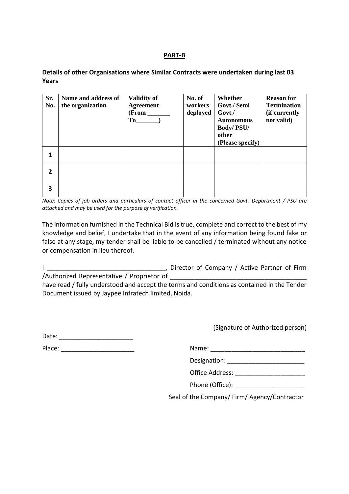#### **PART-B**

**Details of other Organisations where Similar Contracts were undertaken during last 03 Years**

| Sr.<br>No. | Name and address of<br>the organization | <b>Validity of</b><br><b>Agreement</b><br>(From<br>To | No. of<br>workers<br>deployed | Whether<br>Govt./ Semi<br>Govt./<br><b>Autonomous</b><br><b>Body/PSU/</b><br>other<br>(Please specify) | <b>Reason for</b><br><b>Termination</b><br>(if currently<br>not valid) |
|------------|-----------------------------------------|-------------------------------------------------------|-------------------------------|--------------------------------------------------------------------------------------------------------|------------------------------------------------------------------------|
|            |                                         |                                                       |                               |                                                                                                        |                                                                        |
| 2          |                                         |                                                       |                               |                                                                                                        |                                                                        |
| 3          |                                         |                                                       |                               |                                                                                                        |                                                                        |

*Note: Copies of job orders and particulars of contact officer in the concerned Govt. Department / PSU are attached and may be used for the purpose of verification.*

The information furnished in the Technical Bid is true, complete and correct to the best of my knowledge and belief, I undertake that in the event of any information being found fake or false at any stage, my tender shall be liable to be cancelled / terminated without any notice or compensation in lieu thereof.

I **I Example 20 The Company / Active Partner of Firm** /Authorized Representative / Proprietor of \_\_\_\_\_\_\_\_\_\_\_\_\_\_\_\_\_\_\_\_\_\_\_\_\_\_\_\_\_\_\_\_\_\_\_\_\_\_\_

have read / fully understood and accept the terms and conditions as contained in the Tender Document issued by Jaypee Infratech limited, Noida.

(Signature of Authorized person)

| - 1 |  | أوصابا استراحت والمساردين أحسان المساردين المساردين المساردين المساردين أسترائهما أحمار المساردين المساردين |  |
|-----|--|-------------------------------------------------------------------------------------------------------------|--|
|     |  |                                                                                                             |  |
|     |  |                                                                                                             |  |
|     |  |                                                                                                             |  |
|     |  |                                                                                                             |  |

Date:

Place: The contract of the contract of the contract of the contract of the contract of the contract of the contract of the contract of the contract of the contract of the contract of the contract of the contract of the con

| Designation: |  |
|--------------|--|
|--------------|--|

Office Address: \_\_\_\_\_\_\_\_\_\_\_\_\_\_\_\_\_\_\_\_

|  | Phone (Office): |  |
|--|-----------------|--|
|--|-----------------|--|

Seal of the Company/ Firm/ Agency/Contractor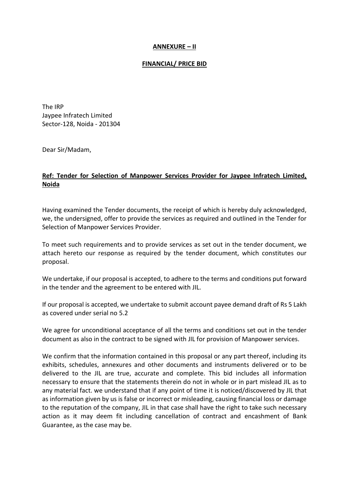#### **ANNEXURE – II**

#### **FINANCIAL/ PRICE BID**

The IRP Jaypee Infratech Limited Sector-128, Noida - 201304

Dear Sir/Madam,

## **Ref: Tender for Selection of Manpower Services Provider for Jaypee Infratech Limited, Noida**

Having examined the Tender documents, the receipt of which is hereby duly acknowledged, we, the undersigned, offer to provide the services as required and outlined in the Tender for Selection of Manpower Services Provider.

To meet such requirements and to provide services as set out in the tender document, we attach hereto our response as required by the tender document, which constitutes our proposal.

We undertake, if our proposal is accepted, to adhere to the terms and conditions put forward in the tender and the agreement to be entered with JIL.

If our proposal is accepted, we undertake to submit account payee demand draft of Rs 5 Lakh as covered under serial no 5.2

We agree for unconditional acceptance of all the terms and conditions set out in the tender document as also in the contract to be signed with JIL for provision of Manpower services.

We confirm that the information contained in this proposal or any part thereof, including its exhibits, schedules, annexures and other documents and instruments delivered or to be delivered to the JIL are true, accurate and complete. This bid includes all information necessary to ensure that the statements therein do not in whole or in part mislead JIL as to any material fact. we understand that if any point of time it is noticed/discovered by JIL that as information given by us is false or incorrect or misleading, causing financial loss or damage to the reputation of the company, JIL in that case shall have the right to take such necessary action as it may deem fit including cancellation of contract and encashment of Bank Guarantee, as the case may be.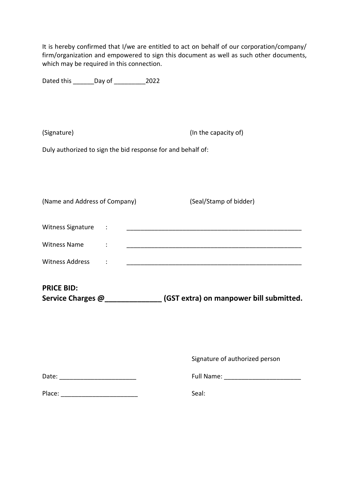| which may be required in this connection.                   | It is hereby confirmed that I/we are entitled to act on behalf of our corporation/company/<br>firm/organization and empowered to sign this document as well as such other documents, |
|-------------------------------------------------------------|--------------------------------------------------------------------------------------------------------------------------------------------------------------------------------------|
| Dated this ________ Day of ______________2022               |                                                                                                                                                                                      |
| (Signature)                                                 | (In the capacity of)                                                                                                                                                                 |
| Duly authorized to sign the bid response for and behalf of: |                                                                                                                                                                                      |
| (Name and Address of Company)                               | (Seal/Stamp of bidder)                                                                                                                                                               |
| Witness Signature :                                         |                                                                                                                                                                                      |
| <b>Witness Name</b>                                         |                                                                                                                                                                                      |
| <b>Witness Address</b><br>$\ddot{\cdot}$                    |                                                                                                                                                                                      |
| <b>PRICE BID:</b><br>Service Charges @_____________         | (GST extra) on manpower bill submitted.                                                                                                                                              |
|                                                             | Signature of authorized person                                                                                                                                                       |
| Date: _____________________________                         |                                                                                                                                                                                      |
|                                                             | Seal:                                                                                                                                                                                |